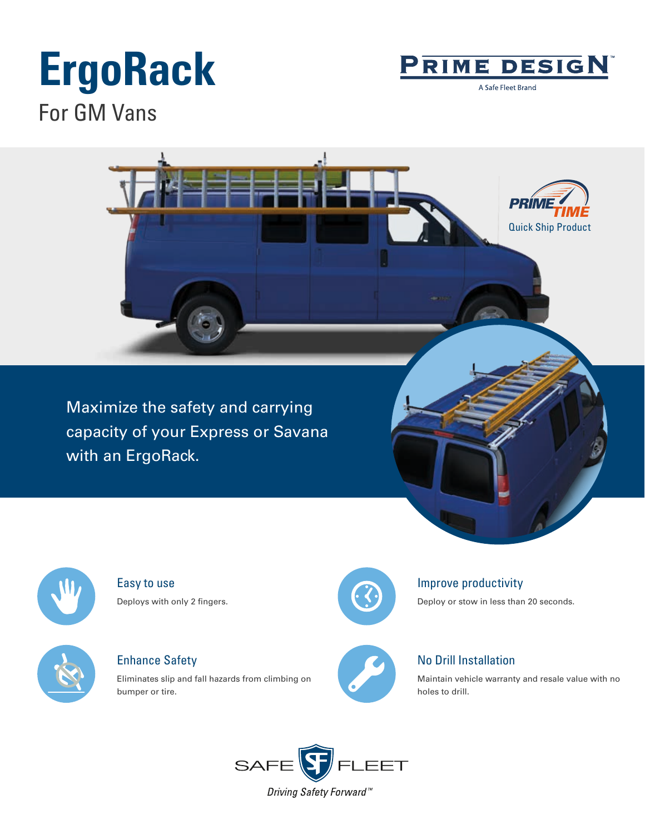# **ErgoRack** For GM Vans



A Safe Fleet Brand



Maximize the safety and carrying capacity of your Express or Savana with an ErgoRack.



Easy to use Deploys with only 2 fingers.



Enhance Safety

Eliminates slip and fall hazards from climbing on bumper or tire.



### Improve productivity

Deploy or stow in less than 20 seconds.



## No Drill Installation

Maintain vehicle warranty and resale value with no holes to drill.